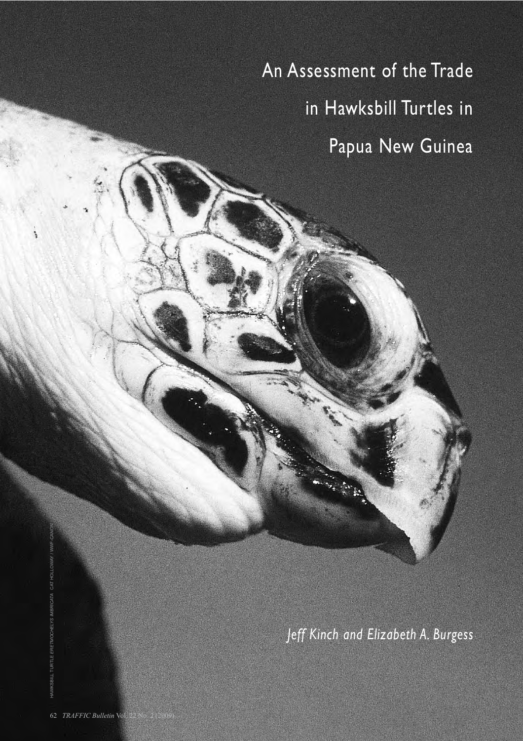An Assessment of the Trade in Hawksbill Turtles in Papua New Guinea

*Jeff Kinch and Elizabeth A. Burgess*

HAWKSBILL TURTLE *ERETMOCHELYS IMBRICATA* CAT HOLLOWAY / WWF-CANON

TURTLE ERETMOCHELYS IMBRICATA CAT HOLLOWAY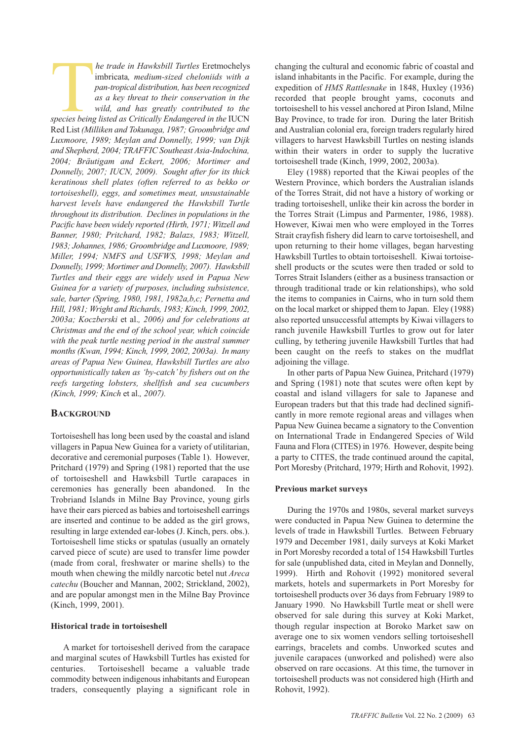*he trade in Hawksbill Turtles* Eretmochelys<br>imbricata, medium-sized cheloniids with a<br>pan-tropical distribution, has been recognized<br>as a key threat to their conservation in the<br>wild. and has greatly contributed to the imbricata*, medium-sized cheloniids with a pan-tropical distribution, has been recognized as a key threat to their conservation in the wild, and has greatly contributed to the species being listed as Critically Endangered in the* IUCN Red List *(Milliken and Tokunaga, 1987; Groombridge and Luxmoore, 1989; Meylan and Donnelly, 1999; van Dijk and Shepherd, 2004; TRAFFIC Southeast Asia-Indo china, 2004; Bräutigam and Eckert, 2006; Mortimer and Donnelly, 2007; IUCN, 2009). Sought after for its thick keratinous shell plates (often referred to as bekko or tortoiseshell), eggs, and sometimes meat, unsustainable harvest levels have endangered the Hawksbill Turtle throughout its distribution. Declines in populations in the Pacific have been widely reported (Hirth, 1971; Witzell and Banner, 1980; Pritchard, 1982; Balazs, 1983; Witzell, 1983; Johannes, 1986; Groombridge and Luxmoore, 1989; Miller, 1994; NMFS and USFWS, 1998; Meylan and Donnelly, 1999; Mortimer and Donnelly, 2007). Hawksbill Turtles and their eggs are widely used in Papua New Guinea for a variety of purposes, including subsistence, sale, barter (Spring, 1980, 1981, 1982a,b,c; Pernetta and Hill, 1981; Wright and Richards, 1983; Kinch, 1999, 2002, 2003a; Koczberski* et al.*, 2006) and for celebrations at Christmas and the end of the school year, which coincide with the peak turtle nesting period in the austral summer months (Kwan, 1994; Kinch, 1999, 2002, 2003a). In many areas of Papua New Guinea, Hawksbill Turtles are also opportunistically taken as 'by-catch' by fishers out on the reefs targeting lobsters, shellfish and sea cucumbers (Kinch, 1999; Kinch* et al.*, 2007).*

# **BACKGROUND**

Tortoiseshell has long been used by the coastal and island villagers in Papua New Guinea for a variety of utilitarian, decorative and ceremonial purposes (Table 1). However, Pritchard (1979) and Spring (1981) reported that the use of tortoiseshell and Hawksbill Turtle carapaces in ceremonies has generally been abandoned. In the Trobriand Islands in Milne Bay Province, young girls have their ears pierced as babies and tortoiseshell earrings are inserted and continue to be added as the girl grows, resulting in large extended ear-lobes (J. Kinch, pers. obs.). Tortoiseshell lime sticks or spatulas (usually an ornately carved piece of scute) are used to transfer lime powder (made from coral, freshwater or marine shells) to the mouth when chewing the mildly narcotic betel nut *Areca catechu* (Boucher and Mannan, 2002; Strickland, 2002), and are popular amongst men in the Milne Bay Province (Kinch, 1999, 2001).

# **Historical trade in tortoiseshell**

A market for tortoiseshell derived from the carapace and marginal scutes of Hawksbill Turtles has existed for centuries. Tortoiseshell became a valuable trade commodity between indigenous inhabitants and European traders, consequently playing a significant role in

changing the cultural and economic fabric of coastal and island inhabitants in the Pacific. For example, during the expedition of *HMS Rattlesnake* in 1848, Huxley (1936) recorded that people brought yams, coconuts and tortoiseshell to his vessel anchored at Piron Island, Milne Bay Province, to trade for iron. During the later British and Australian colonial era, foreign traders regularly hired villagers to harvest Hawksbill Turtles on nesting islands within their waters in order to supply the lucrative tortoiseshell trade (Kinch, 1999, 2002, 2003a).

Eley (1988) reported that the Kiwai peoples of the Western Province, which borders the Australian islands of the Torres Strait, did not have a history of working or trading tortoiseshell, unlike their kin across the border in the Torres Strait (Limpus and Parmenter, 1986, 1988). However, Kiwai men who were employed in the Torres Strait crayfish fishery did learn to carve tortoiseshell, and upon returning to their home villages, began harvesting Hawksbill Turtles to obtain tortoiseshell. Kiwai tortoise shell products or the scutes were then traded or sold to Torres Strait Islanders (either as a business transaction or through traditional trade or kin relationships), who sold the items to companies in Cairns, who in turn sold them on the local market or shipped them to Japan. Eley (1988) also reported unsuccessful attempts by Kiwai villagers to ranch juvenile Hawksbill Turtles to grow out for later culling, by tethering juvenile Hawksbill Turtles that had been caught on the reefs to stakes on the mudflat adjoining the village.

In other parts of Papua New Guinea, Pritchard (1979) and Spring (1981) note that scutes were often kept by coastal and island villagers for sale to Japanese and European traders but that this trade had declined significantly in more remote regional areas and villages when Papua New Guinea became a signatory to the Convention on International Trade in Endangered Species of Wild Fauna and Flora (CITES) in 1976. However, despite being a party to CITES, the trade continued around the capital, Port Moresby (Pritchard, 1979; Hirth and Rohovit, 1992).

# **Previous market surveys**

During the 1970s and 1980s, several market surveys were conducted in Papua New Guinea to determine the levels of trade in Hawksbill Turtles. Between February 1979 and December 1981, daily surveys at Koki Market in Port Moresby recorded a total of 154 Hawksbill Turtles for sale (unpublished data, cited in Meylan and Donnelly, 1999). Hirth and Rohovit (1992) monitored several markets, hotels and supermarkets in Port Moresby for tortoiseshell products over 36 days from February 1989 to January 1990. No Hawksbill Turtle meat or shell were observed for sale during this survey at Koki Market, though regular inspection at Boroko Market saw on average one to six women vendors selling tortoiseshell earrings, bracelets and combs. Unworked scutes and juvenile carapaces (unworked and polished) were also observed on rare occasions. At this time, the turnover in tortoise shell products was not considered high (Hirth and Rohovit, 1992).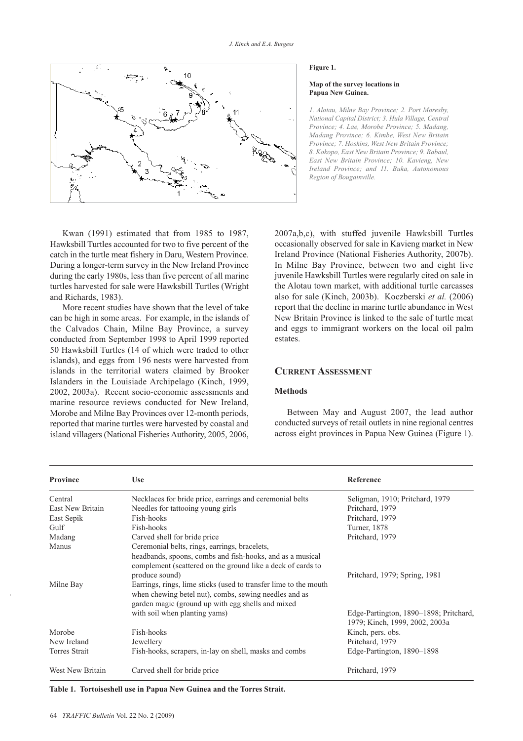

#### **Figure 1.**

#### **Map of the survey locations in Papua New Guinea.**

*1. Alotau, Milne Bay Province; 2. Port Moresby, National Capital District; 3. Hula Village, Central Province; 4. Lae, Morobe Province; 5. Madang, Madang Province; 6. Kimbe, West New Britain Province; 7. Hoskins, West New Britain Province; 8. Kokopo, East New Britain Province; 9. Rabaul, East New Britain Province; 10. Kavieng, New Ireland Province; and 11. Buka, Autonomous Region of Bougainville.*

Kwan (1991) estimated that from 1985 to 1987, Hawksbill Turtles accounted for two to five percent of the catch in the turtle meat fishery in Daru, Western Province. During a longer-term survey in the New Ireland Province during the early 1980s, less than five percent of all marine turtles harvested for sale were Hawksbill Turtles (Wright and Richards, 1983).

More recent studies have shown that the level of take can be high in some areas. For example, in the islands of the Calvados Chain, Milne Bay Province, a survey conducted from September 1998 to April 1999 reported 50 Hawksbill Turtles (14 of which were traded to other islands), and eggs from 196 nests were harvested from islands in the territorial waters claimed by Brooker Islanders in the Louisiade Archipelago (Kinch, 1999, 2002, 2003a). Recent socio-economic assessments and marine resource reviews conducted for New Ireland, Morobe and Milne Bay Provinces over 12-month periods, reported that marine turtles were harvested by coastal and island villagers (National Fisheries Authority, 2005, 2006,

2007a,b,c), with stuffed juvenile Hawksbill Turtles occasionally observed for sale in Kavieng market in New Ireland Province (National Fisheries Authority, 2007b). In Milne Bay Province, between two and eight live juvenile Hawksbill Turtles were regularly cited on sale in the Alotau town market, with additional turtle carcasses also for sale (Kinch, 2003b). Koczberski *et al.* (2006) report that the decline in marine turtle abundance in West New Britain Province is linked to the sale of turtle meat and eggs to immigrant workers on the local oil palm estates.

# **CURRENT ASSESSMENT**

# **Methods**

Between May and August 2007, the lead author conducted surveys of retail outlets in nine regional centres across eight provinces in Papua New Guinea (Figure 1).

| <b>Province</b>      | <b>Use</b>                                                                                                                                                                                                                                                                                                                                                                    | Reference                                                                |
|----------------------|-------------------------------------------------------------------------------------------------------------------------------------------------------------------------------------------------------------------------------------------------------------------------------------------------------------------------------------------------------------------------------|--------------------------------------------------------------------------|
| Central              | Necklaces for bride price, earnings and ceremonial belts                                                                                                                                                                                                                                                                                                                      | Seligman, 1910; Pritchard, 1979                                          |
| East New Britain     | Needles for tattooing young girls                                                                                                                                                                                                                                                                                                                                             | Pritchard, 1979                                                          |
| East Sepik           | Fish-hooks                                                                                                                                                                                                                                                                                                                                                                    | Pritchard, 1979                                                          |
| Gulf                 | Fish-hooks                                                                                                                                                                                                                                                                                                                                                                    | Turner, 1878                                                             |
| Madang               | Carved shell for bride price                                                                                                                                                                                                                                                                                                                                                  | Pritchard, 1979                                                          |
| Manus<br>Milne Bay   | Ceremonial belts, rings, earrings, bracelets,<br>headbands, spoons, combs and fish-hooks, and as a musical<br>complement (scattered on the ground like a deck of cards to<br>produce sound)<br>Earrings, rings, lime sticks (used to transfer lime to the mouth<br>when chewing betel nut), combs, sewing needles and as<br>garden magic (ground up with egg shells and mixed | Pritchard, 1979; Spring, 1981                                            |
|                      | with soil when planting yams)                                                                                                                                                                                                                                                                                                                                                 | Edge-Partington, 1890-1898; Pritchard,<br>1979; Kinch, 1999, 2002, 2003a |
| Morobe               | Fish-hooks                                                                                                                                                                                                                                                                                                                                                                    | Kinch, pers. obs.                                                        |
| New Ireland          | Jewellery                                                                                                                                                                                                                                                                                                                                                                     | Pritchard, 1979                                                          |
| <b>Torres Strait</b> | Fish-hooks, scrapers, in-lay on shell, masks and combs                                                                                                                                                                                                                                                                                                                        | Edge-Partington, 1890–1898                                               |
| West New Britain     | Carved shell for bride price                                                                                                                                                                                                                                                                                                                                                  | Pritchard, 1979                                                          |

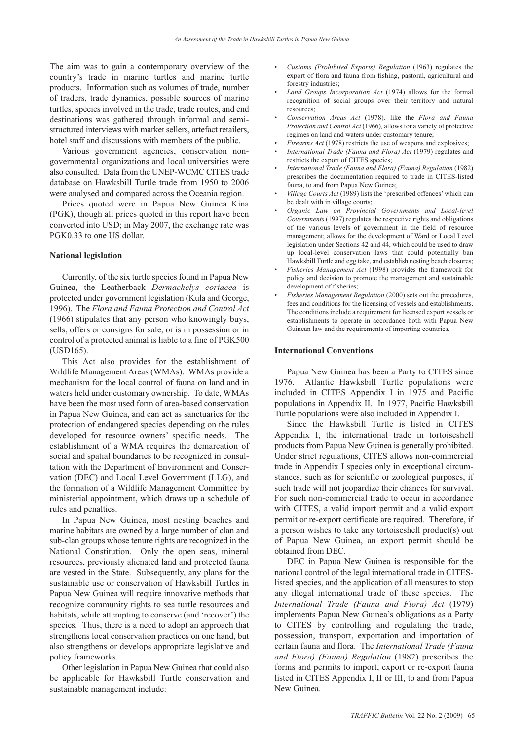The aim was to gain a contemporary overview of the country's trade in marine turtles and marine turtle products. Information such as volumes of trade, number of traders, trade dynamics, possible sources of marine turtles, species involved in the trade, trade routes, and end destinations was gathered through informal and semistructured interviews with market sellers, artefact retailers, hotel staff and discussions with members of the public.

Various government agencies, conservation nongovernmental organizations and local universities were also consulted. Data from the UNEP-WCMC CITES trade database on Hawksbill Turtle trade from 1950 to 2006 were analysed and compared across the Oceania region.

Prices quoted were in Papua New Guinea Kina (PGK), though all prices quoted in this report have been converted into USD; in May 2007, the exchange rate was PGK0.33 to one US dollar.

### **National legislation**

Currently, of the six turtle species found in Papua New Guinea, the Leatherback *Dermachelys coriacea* is protected under government legislation (Kula and George, 1996). The *Flora and Fauna Protection and Control Act* (1966) stipulates that any person who knowingly buys, sells, offers or consigns for sale, or is in possession or in control of a protected animal is liable to a fine of PGK500 (USD165).

This Act also provides for the establishment of Wildlife Management Areas (WMAs). WMAs provide a mechanism for the local control of fauna on land and in waters held under customary ownership. To date, WMAs have been the most used form of area-based conservation in Papua New Guinea, and can act as sanctuaries for the protection of endangered species depending on the rules developed for resource owners' specific needs. The establishment of a WMA requires the demarcation of social and spatial boundaries to be recognized in consultation with the Department of Environment and Conservation (DEC) and Local Level Government (LLG), and the formation of a Wildlife Management Committee by ministerial appointment, which draws up a schedule of rules and penalties.

In Papua New Guinea, most nesting beaches and marine habitats are owned by a large number of clan and sub-clan groups whose tenure rights are recognized in the National Constitution. Only the open seas, mineral resources, previously alienated land and protected fauna are vested in the State. Subsequently, any plans for the sustainable use or conservation of Hawksbill Turtles in Papua New Guinea will require innovative methods that recognize community rights to sea turtle resources and habitats, while attempting to conserve (and 'recover') the species. Thus, there is a need to adopt an approach that strengthens local conservation practices on one hand, but also strengthens or develops appropriate legislative and policy frameworks.

Other legislation in Papua New Guinea that could also be applicable for Hawksbill Turtle conservation and sustainable management include:

- *Customs (Prohibited Exports) Regulation* (1963) regulates the export of flora and fauna from fishing, pastoral, agricultural and forestry industries;
- *Land Groups Incorporation Act* (1974) allows for the formal recognition of social groups over their territory and natural resources;
- *Conservation Areas Act* (1978)*,* like the *Flora and Fauna Protection and Control Act* (1966)*,* allows for a variety of protective regimes on land and waters under customary tenure;
- *Firearms Act* (1978) restricts the use of weapons and explosives;
- *International Trade (Fauna and Flora) Act* (1979) regulates and restricts the export of CITES species;
- *International Trade (Fauna and Flora) (Fauna) Regulation (1982)* prescribes the documentation required to trade in CITES-listed fauna, to and from Papua New Guinea;
- *Village Courts Act* (1989) lists the 'prescribed offences' which can be dealt with in village courts;
- *Organic Law on Provincial Governments and Local-level Governments* (1997) regulates the respective rights and obligations of the various levels of government in the field of resource management; allows for the development of Ward or Local Level legislation under Sections 42 and 44, which could be used to draw up local-level conservation laws that could potentially ban Hawksbill Turtle and egg take, and establish nesting beach closures;
- *Fisheries Management Act* (1998) provides the framework for policy and decision to promote the management and sustainable development of fisheries;
- *Fisheries Management Regulation* (2000) sets out the procedures, fees and conditions for the licensing of vessels and establishments. The conditions include a requirement for licensed export vessels or establishments to operate in accordance both with Papua New Guinean law and the requirements of importing countries.

#### **International Conventions**

Papua New Guinea has been a Party to CITES since 1976. Atlantic Hawksbill Turtle populations were included in CITES Appendix I in 1975 and Pacific populations in Appendix II. In 1977, Pacific Hawksbill Turtle populations were also included in Appendix I.

Since the Hawksbill Turtle is listed in CITES Appendix I, the international trade in tortoiseshell products from Papua New Guinea is generally prohibited. Under strict regulations, CITES allows non-commercial trade in Appendix I species only in exceptional circumstances, such as for scientific or zoological purposes, if such trade will not jeopardize their chances for survival. For such non-commercial trade to occur in accordance with CITES, a valid import permit and a valid export permit or re-export certificate are required. Therefore, if a person wishes to take any tortoiseshell product(s) out of Papua New Guinea, an export permit should be obtained from DEC.

DEC in Papua New Guinea is responsible for the national control of the legal international trade in CITESlisted species, and the application of all measures to stop any illegal international trade of these species. The *International Trade (Fauna and Flora) Act* (1979) implements Papua New Guinea's obligations as a Party to CITES by controlling and regulating the trade, possession, transport, exportation and importation of certain fauna and flora. The *International Trade (Fauna and Flora) (Fauna) Regulation* (1982) prescribes the forms and permits to import, export or re-export fauna listed in CITES Appendix I, II or III, to and from Papua New Guinea.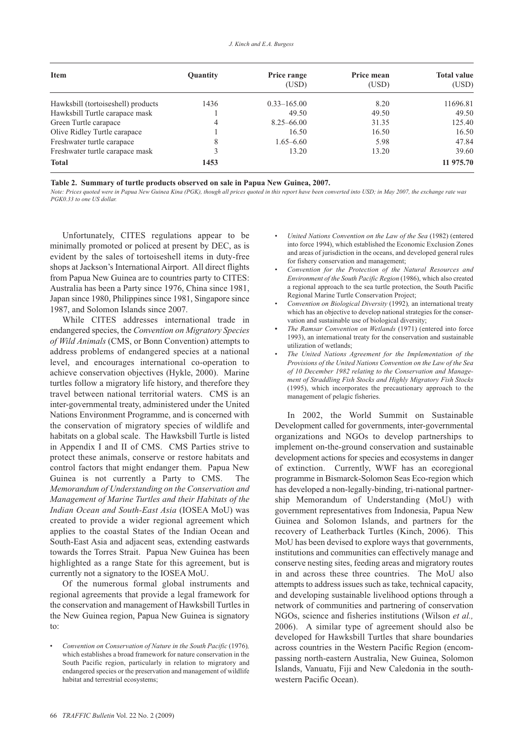| <b>Item</b>                        | Quantity | Price range     | Price mean | <b>Total value</b> |
|------------------------------------|----------|-----------------|------------|--------------------|
|                                    |          | (USD)           | (USD)      | (USD)              |
| Hawksbill (tortoiseshell) products | 1436     | $0.33 - 165.00$ | 8.20       | 11696.81           |
| Hawksbill Turtle carapace mask     |          | 49.50           | 49.50      | 49.50              |
| Green Turtle carapace              | 4        | $8.25 - 66.00$  | 31.35      | 125.40             |
| Olive Ridley Turtle carapace       |          | 16.50           | 16.50      | 16.50              |
| Freshwater turtle carapace         | 8        | $1.65 - 6.60$   | 5.98       | 47.84              |
| Freshwater turtle carapace mask    |          | 13.20           | 13.20      | 39.60              |
| <b>Total</b>                       | 1453     |                 |            | 11 975.70          |

**Table 2. Summary of turtle products observed on sale in Papua New Guinea, 2007.**

*Note: Prices quoted were in Papua New Guinea Kina (PGK), though all prices quoted in this report have been converted into USD; in May 2007, the exchange rate was PGK0.33 to one US dollar.* 

Unfortunately, CITES regulations appear to be minimally promoted or policed at present by DEC, as is evident by the sales of tortoiseshell items in duty-free shops at Jackson's International Airport. All direct flights from Papua New Guinea are to countries party to CITES: Australia has been a Party since 1976, China since 1981, Japan since 1980, Philippines since 1981, Singapore since 1987, and Solomon Islands since 2007.

While CITES addresses international trade in endangered species, the *Convention on Migratory Species of Wild Animals* (CMS, or Bonn Convention) attempts to address problems of endangered species at a national level, and encourages international co-operation to achieve conservation objectives (Hykle, 2000). Marine turtles follow a migratory life history, and therefore they travel between national territorial waters. CMS is an inter-governmental treaty, administered under the United Nations Environment Programme, and is concerned with the conservation of migratory species of wildlife and habitats on a global scale. The Hawksbill Turtle is listed in Appendix I and II of CMS. CMS Parties strive to protect these animals, conserve or restore habitats and control factors that might endanger them. Papua New Guinea is not currently a Party to CMS. The *Memorandum of Understanding on the Conservation and Management of Marine Turtles and their Habitats of the Indian Ocean and South-East Asia* (IOSEA MoU) was created to provide a wider regional agreement which applies to the coastal States of the Indian Ocean and South-East Asia and adjacent seas, extending eastwards towards the Torres Strait. Papua New Guinea has been highlighted as a range State for this agreement, but is currently not a signatory to the IOSEA MoU.

Of the numerous formal global instruments and regional agreements that provide a legal framework for the conservation and management of Hawksbill Turtles in the New Guinea region, Papua New Guinea is signatory to:

- *United Nations Convention on the Law of the Sea* (1982) (entered into force 1994), which established the Economic Exclusion Zones and areas of jurisdiction in the oceans, and developed general rules for fishery conservation and management;
- *Convention for the Protection of the Natural Resources and Environment of the South Pacific Region* (1986), which also created a regional approach to the sea turtle protection, the South Pacific Regional Marine Turtle Conservation Project;
- *Convention on Biological Diversity* (1992)*,* an international treaty which has an objective to develop national strategies for the conservation and sustainable use of biological diversity;
- **•** *The Ramsar Convention on Wetlands* (1971) (entered into force 1993), an international treaty for the conservation and sustainable utilization of wetlands;
- *The United Nations Agreement for the Implementation of the Provisions of the United Nations Convention on the Law of the Sea of 10 December 1982 relating to the Conservation and Manage ment of Straddling Fish Stocks and Highly Migratory Fish Stocks* (1995), which incorporates the precautionary approach to the management of pelagic fisheries.

In 2002, the World Summit on Sustainable Development called for governments, inter-governmental organizations and NGOs to develop partnerships to implement on-the-ground conservation and sustainable development actions for species and ecosystems in danger of extinction. Currently, WWF has an ecoregional programme in Bismarck-Solomon Seas Eco-region which has developed a non-legally-binding, tri-national partnership Memorandum of Understanding (MoU) with government representatives from Indonesia, Papua New Guinea and Solomon Islands, and partners for the recovery of Leatherback Turtles (Kinch, 2006). This MoU has been devised to explore ways that governments, institutions and communities can effectively manage and conserve nesting sites, feeding areas and migratory routes in and across these three countries. The MoU also attempts to address issues such as take, technical capacity, and developing sustainable livelihood options through a network of communities and partnering of conservation NGOs, science and fisheries institutions (Wilson *et al.,* 2006). A similar type of agreement should also be developed for Hawksbill Turtles that share boundaries across countries in the Western Pacific Region (encompassing north-eastern Australia, New Guinea, Solomon Islands, Vanuatu, Fiji and New Caledonia in the southwestern Pacific Ocean).

<sup>•</sup> *Convention on Conservation of Nature in the South Pacific* (1976)*,* which establishes a broad framework for nature conservation in the South Pacific region, particularly in relation to migratory and endangered species or the preservation and management of wildlife habitat and terrestrial ecosystems;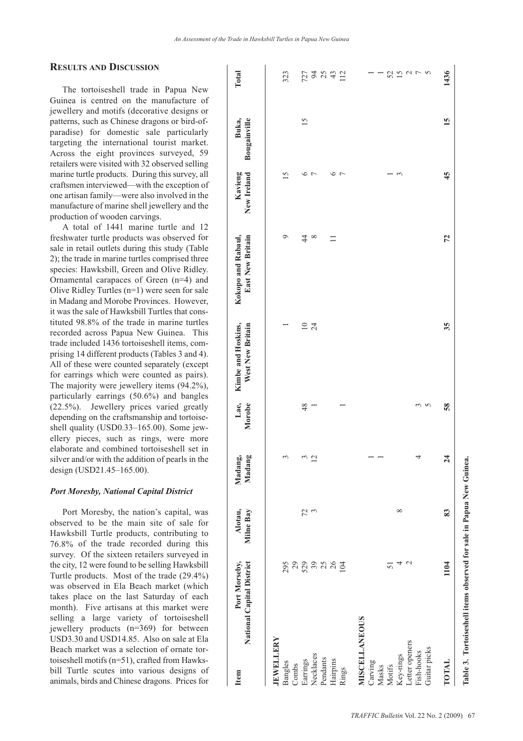# **RESULTS AND DISCUSSION**

The tortoiseshell trade in Papua New Guinea is centred on the manufacture of jewellery and motifs (decorative designs or patterns, such as Chinese dragons or bird-ofparadise) for domestic sale particularly targeting the international tourist market. Across the eight provinces surveyed, 59 retailers were visited with 32 observed selling marine turtle products. During this survey, all craftsmen interviewed—with the exception of one artisan family—were also involved in the manufacture of marine shell jewellery and the production of wooden carvings.

A total of 1441 marine turtle and 12 freshwater turtle products was observed for sale in retail outlets during this study (Table 2); the trade in marine turtles comprised three species: Hawksbill, Green and Olive Ridley. Ornamental carapaces of Green (n=4) and Olive Ridley Turtles (n=1) were seen for sale in Madang and Morobe Provinces. However, it was the sale of Hawksbill Turtles that constituted 98.8% of the trade in marine turtles recorded across Papua New Guinea. This trade included 1436 tortoiseshell items, comprising 14 different products (Tables 3 and 4). All of these were counted separately (except for earrings which were counted as pairs). The majority were jewellery items (94.2%), particularly earrings (50.6%) and bangles (22.5%). Jewellery prices varied greatly depending on the craftsmanship and tortoiseshell quality (USD0.33-165.00). Some jewellery pieces, such as rings, were more elaborate and combined tortoiseshell set in silver and/or with the addition of pearls in the design (USD21.45–165.00).

### *Port Moresby, National Capital District*

Port Moresby, the nation's capital, was observed to be the main site of sale for Hawksbill Turtle products, contributing to 76.8% of the trade recorded during this survey. Of the sixteen retailers surveyed in the city, 12 were found to be selling Hawksbill Turtle products. Most of the trade (29.4%) was observed in Ela Beach market (which takes place on the last Saturday of each month). Five artisans at this market were selling a large variety of tortoiseshell jewellery products (n=369) for between USD3.30 and USD14.85. Also on sale at Ela Beach market was a selection of ornate tortoise shell motifs  $(n=51)$ , crafted from Hawksbill Turtle scutes into various designs of animals, birds and Chinese dragons. Prices for

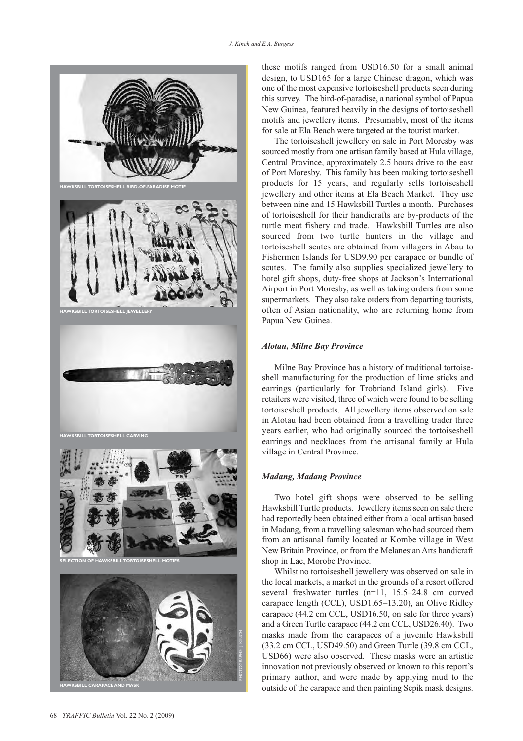

these motifs ranged from USD16.50 for a small animal design, to USD165 for a large Chinese dragon, which was one of the most expensive tortoiseshell products seen during this survey. The bird-of-paradise, a national symbol of Papua New Guinea, featured heavily in the designs of tortoiseshell motifs and jewellery items. Presumably, most of the items for sale at Ela Beach were targeted at the tourist market.

The tortoiseshell jewellery on sale in Port Moresby was sourced mostly from one artisan family based at Hula village, Central Province, approximately 2.5 hours drive to the east of Port Moresby. This family has been making tortoiseshell products for 15 years, and regularly sells tortoiseshell jewellery and other items at Ela Beach Market. They use between nine and 15 Hawksbill Turtles a month. Purchases of tortoiseshell for their handicrafts are by-products of the turtle meat fishery and trade. Hawksbill Turtles are also sourced from two turtle hunters in the village and tortoiseshell scutes are obtained from villagers in Abau to Fishermen Islands for USD9.90 per carapace or bundle of scutes. The family also supplies specialized jewellery to hotel gift shops, duty-free shops at Jackson's International Airport in Port Moresby, as well as taking orders from some supermarkets. They also take orders from departing tourists, often of Asian nationality, who are returning home from Papua New Guinea.

# *Alotau, Milne Bay Province*

Milne Bay Province has a history of traditional tortoise shell manufacturing for the production of lime sticks and earrings (particularly for Trobriand Island girls). Five retailers were visited, three of which were found to be selling tortoiseshell products. All jewellery items observed on sale in Alotau had been obtained from a travelling trader three years earlier, who had originally sourced the tortoiseshell earrings and necklaces from the artisanal family at Hula village in Central Province.

# *Madang, Madang Province*

Two hotel gift shops were observed to be selling Hawksbill Turtle products. Jewellery items seen on sale there had reportedly been obtained either from a local artisan based in Madang, from a travelling salesman who had sourced them from an artisanal family located at Kombe village in West New Britain Province, or from the Melanesian Arts handicraft shop in Lae, Morobe Province.

Whilst no tortoiseshell jewellery was observed on sale in the local markets, a market in the grounds of a resort offered several freshwater turtles (n=11, 15.5–24.8 cm curved carapace length (CCL), USD1.65–13.20), an Olive Ridley carapace (44.2 cm CCL, USD16.50, on sale for three years) and a Green Turtle carapace (44.2 cm CCL, USD26.40). Two masks made from the carapaces of a juvenile Hawksbill (33.2 cm CCL, USD49.50) and Green Turtle (39.8 cm CCL, USD66) were also observed. These masks were an artistic innovation not previously observed or known to this report's primary author, and were made by applying mud to the outside of the carapace and then painting Sepik mask designs.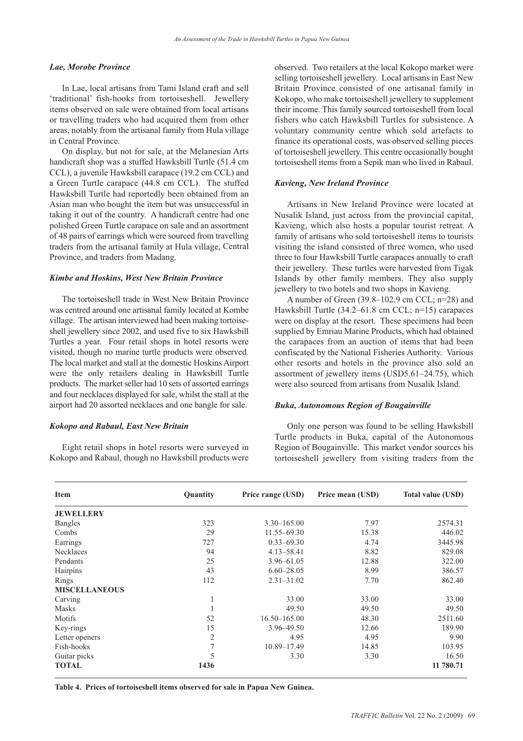# *Lae, Morobe Province*

In Lae, local artisans from Tami Island craft and sell 'traditional' fish-hooks from tortoiseshell. Jewellery items observed on sale were obtained from local artisans or travelling traders who had acquired them from other areas, notably from the artisanal family from Hula village in Central Province.

On display, but not for sale, at the Melanesian Arts handicraft shop was a stuffed Hawksbill Turtle (51.4 cm CCL), a juvenile Hawksbill carapace (19.2 cm CCL) and a Green Turtle carapace (44.8 cm CCL). The stuffed Hawksbill Turtle had reportedly been obtained from an Asian man who bought the item but was unsuccessful in taking it out of the country. A handicraft centre had one polished Green Turtle carapace on sale and an assortment of 48 pairs of earrings which were sourced from travelling traders from the artisanal family at Hula village, Central Province, and traders from Madang.

#### *Kimbe and Hoskins, West New Britain Province*

The tortoiseshell trade in West New Britain Province was centred around one artisanal family located at Kombe village. The artisan interviewed had been making tortoise shell jewellery since 2002, and used five to six Hawksbill Turtles a year. Four retail shops in hotel resorts were visited, though no marine turtle products were observed. The local market and stall at the domestic Hoskins Airport were the only retailers dealing in Hawksbill Turtle products. The market seller had 10 sets of assorted earrings and four necklaces displayed for sale, whilst the stall at the airport had 20 assorted necklaces and one bangle for sale.

#### *Kokopo and Rabaul, East New Britain*

Eight retail shops in hotel resorts were surveyed in Kokopo and Rabaul, though no Hawksbill products were observed. Two retailers at the local Kokopo market were selling tortoiseshell jewellery. Local artisans in East New Britain Province consisted of one artisanal family in Kokopo, who make tortoiseshell jewellery to supplement their income. This family sourced tortoiseshell from local fishers who catch Hawksbill Turtles for subsistence. A voluntary community centre which sold artefacts to finance its operational costs, was observed selling pieces of tortoiseshell jewellery. This centre occasionally bought tortoiseshell items from a Sepik man who lived in Rabaul.

# *Kavieng, New Ireland Province*

Artisans in New Ireland Province were located at Nusalik Island, just across from the provincial capital, Kavieng, which also hosts a popular tourist retreat. A family of artisans who sold tortoiseshell items to tourists visiting the island consisted of three women, who used three to four Hawksbill Turtle carapaces annually to craft their jewellery. These turtles were harvested from Tigak Islands by other family members. They also supply jewellery to two hotels and two shops in Kavieng.

A number of Green (39.8–102.9 cm CCL; n=28) and Hawksbill Turtle (34.2–61.8 cm CCL; n=15) carapaces were on display at the resort. These specimens had been supplied by Emriau Marine Products, which had obtained the carapaces from an auction of items that had been confiscated by the National Fisheries Authority. Various other resorts and hotels in the province also sold an assortment of jewellery items (USD5.61–24.75), which were also sourced from artisans from Nusalik Island.

#### *Buka, Autonomous Region of Bougainville*

Only one person was found to be selling Hawksbill Turtle products in Buka, capital of the Autonomous Region of Bougainville. This market vendor sources his tortoiseshell jewellery from visiting traders from the

| <b>Item</b>          | Quantity       | Price range (USD) | Price mean (USD) | <b>Total value (USD)</b> |
|----------------------|----------------|-------------------|------------------|--------------------------|
| <b>JEWELLERY</b>     |                |                   |                  |                          |
| <b>Bangles</b>       | 323            | $3.30 - 165.00$   | 7.97             | 2574.31                  |
| Combs                | 29             | $11.55 - 69.30$   | 15.38            | 446.02                   |
| Earrings             | 727            | $0.33 - 69.30$    | 4.74             | 3445.98                  |
| <b>Necklaces</b>     | 94             | $4.13 - 58.41$    | 8.82             | 829.08                   |
| Pendants             | 25             | 3.96-61.05        | 12.88            | 322.00                   |
| Hairpins             | 43             | $6.60 - 28.05$    | 8.99             | 386.57                   |
| Rings                | 112            | $2.31 - 31.02$    | 7.70             | 862.40                   |
| <b>MISCELLANEOUS</b> |                |                   |                  |                          |
| Carving              | 1              | 33.00             | 33.00            | 33.00                    |
| <b>Masks</b>         |                | 49.50             | 49.50            | 49.50                    |
| Motifs               | 52             | $16.50 - 165.00$  | 48.30            | 2511.60                  |
| Key-rings            | 15             | 3.96-49.50        | 12.66            | 189.90                   |
| Letter openers       | $\overline{2}$ | 4.95              | 4.95             | 9.90                     |
| Fish-hooks           | 7              | 10.89-17.49       | 14.85            | 103.95                   |
| Guitar picks         | 5              | 3.30              | 3.30             | 16.50                    |
| <b>TOTAL</b>         | 1436           |                   |                  | 11 780.71                |

**Table 4. Prices of tortoiseshell items observed for sale in Papua New Guinea.**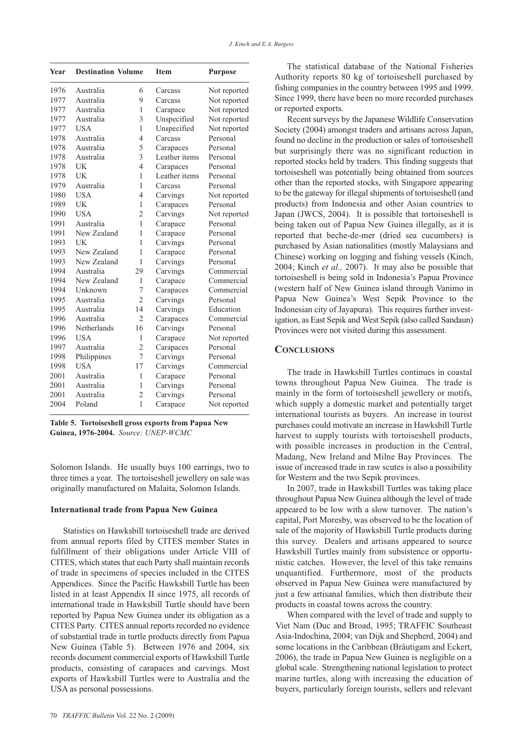| Year | <b>Destination Volume</b> |                | <b>Item</b>   | <b>Purpose</b> |
|------|---------------------------|----------------|---------------|----------------|
| 1976 | Australia                 | 6              | Carcass       | Not reported   |
| 1977 | Australia                 | 9              | Carcass       | Not reported   |
| 1977 | Australia                 | 1              | Carapace      | Not reported   |
| 1977 | Australia                 | 3              | Unspecified   | Not reported   |
| 1977 | <b>USA</b>                | 1              | Unspecified   | Not reported   |
| 1978 | Australia                 | 4              | Carcass       | Personal       |
| 1978 | Australia                 | 5              | Carapaces     | Personal       |
| 1978 | Australia                 | 3              | Leather items | Personal       |
| 1978 | UK                        | 4              | Carapaces     | Personal       |
| 1978 | UK                        | 1              | Leather items | Personal       |
| 1979 | Australia                 | 1              | Carcass       | Personal       |
| 1980 | <b>USA</b>                | 4              | Carvings      | Not reported   |
| 1989 | UK                        | 1              | Carapaces     | Personal       |
| 1990 | <b>USA</b>                | $\overline{2}$ | Carvings      | Not reported   |
| 1991 | Australia                 | 1              | Carapace      | Personal       |
| 1991 | New Zealand               | 1              | Carapace      | Personal       |
| 1993 | UK                        | 1              | Carvings      | Personal       |
| 1993 | New Zealand               | 1              | Carapace      | Personal       |
| 1993 | New Zealand               | 1              | Carvings      | Personal       |
| 1994 | Australia                 | 29             | Carvings      | Commercial     |
| 1994 | New Zealand               | 1              | Carapace      | Commercial     |
| 1994 | Unknown                   | 7              | Carapaces     | Commercial     |
| 1995 | Australia                 | $\overline{2}$ | Carvings      | Personal       |
| 1995 | Australia                 | 14             | Carvings      | Education      |
| 1996 | Australia                 | $\overline{2}$ | Carapaces     | Commercial     |
| 1996 | Netherlands               | 16             | Carvings      | Personal       |
| 1996 | <b>USA</b>                | 1              | Carapace      | Not reported   |
| 1997 | Australia                 | $\overline{2}$ | Carapaces     | Personal       |
| 1998 | Philippines               | 7              | Carvings      | Personal       |
| 1998 | <b>USA</b>                | 17             | Carvings      | Commercial     |
| 2001 | Australia                 | 1              | Carapace      | Personal       |
| 2001 | Australia                 | 1              | Carvings      | Personal       |
| 2001 | Australia                 | $\overline{2}$ | Carvings      | Personal       |
| 2004 | Poland                    | $\mathbf{1}$   | Carapace      | Not reported   |

**Table 5. Tortoiseshell gross exports from Papua New Guinea, 1976-2004.** *Source: UNEP-WCMC*

Solomon Islands. He usually buys 100 earrings, two to three times a year. The tortoiseshell jewellery on sale was originally manufactured on Malaita, Solomon Islands.

### **International trade from Papua New Guinea**

Statistics on Hawksbill tortoiseshell trade are derived from annual reports filed by CITES member States in fulfillment of their obligations under Article VIII of CITES, which states that each Party shall maintain records of trade in specimens of species included in the CITES Appendices. Since the Pacific Hawksbill Turtle has been listed in at least Appendix II since 1975, all records of international trade in Hawksbill Turtle should have been reported by Papua New Guinea under its obligation as a CITES Party. CITES annual reports recorded no evidence of substantial trade in turtle products directly from Papua New Guinea (Table 5). Between 1976 and 2004, six records document commercial exports of Hawksbill Turtle products, consisting of carapaces and carvings. Most exports of Hawksbill Turtles were to Australia and the USA as personal possessions.

The statistical database of the National Fisheries Authority reports 80 kg of tortoiseshell purchased by fishing companies in the country between 1995 and 1999. Since 1999, there have been no more recorded purchases or reported exports.

Recent surveys by the Japanese Wildlife Conservation Society (2004) amongst traders and artisans across Japan, found no decline in the production or sales of tortoiseshell but surprisingly there was no significant reduction in reported stocks held by traders. This finding suggests that tortoiseshell was potentially being obtained from sources other than the reported stocks, with Singapore appearing to be the gateway for illegal shipments of tortoiseshell (and products) from Indonesia and other Asian countries to Japan (JWCS, 2004). It is possible that tortoiseshell is being taken out of Papua New Guinea illegally, as it is reported that beche-de-mer (dried sea cucumbers) is purchased by Asian nationalities (mostly Malaysians and Chinese) working on logging and fishing vessels (Kinch, 2004; Kinch *et al.,* 2007). It may also be possible that tortoiseshell is being sold in Indonesia's Papua Province (western half of New Guinea island through Vanimo in Papua New Guinea's West Sepik Province to the Indonesian city of Jayapura). This requires further investigation, as East Sepik and West Sepik (also called Sandaun) Provinces were not visited during this assessment.

# **CONCLUSIONS**

The trade in Hawksbill Turtles continues in coastal towns throughout Papua New Guinea. The trade is mainly in the form of tortoiseshell jewellery or motifs, which supply a domestic market and potentially target international tourists as buyers. An increase in tourist purchases could motivate an increase in Hawksbill Turtle harvest to supply tourists with tortoiseshell products, with possible increases in production in the Central, Madang, New Ireland and Milne Bay Provinces. The issue of increased trade in raw scutes is also a possibility for Western and the two Sepik provinces.

In 2007, trade in Hawksbill Turtles was taking place throughout Papua New Guinea although the level of trade appeared to be low with a slow turnover. The nation's capital, Port Moresby, was observed to be the location of sale of the majority of Hawksbill Turtle products during this survey. Dealers and artisans appeared to source Hawksbill Turtles mainly from subsistence or opportunistic catches. However, the level of this take remains unquantified. Furthermore, most of the products observed in Papua New Guinea were manufactured by just a few artisanal families, which then distribute their products in coastal towns across the country.

When compared with the level of trade and supply to Viet Nam (Duc and Broad, 1995; TRAFFIC Southeast Asia-Indochina, 2004; van Dijk and Shepherd, 2004) and some locations in the Caribbean (Bräutigam and Eckert, 2006), the trade in Papua New Guinea is negligible on a global scale. Strengthening national legislation to protect marine turtles, along with increasing the education of buyers, particularly foreign tourists, sellers and relevant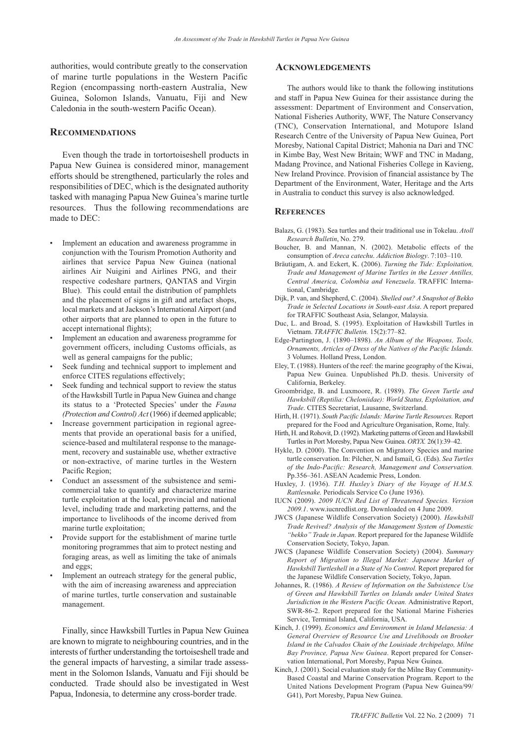authorities, would contribute greatly to the conservation of marine turtle populations in the Western Pacific Region (encompassing north-eastern Australia, New Guinea, Solomon Islands, Vanuatu, Fiji and New Caledonia in the south-western Pacific Ocean).

### **RECOMMENDATIONS**

Even though the trade in tortortoiseshell products in Papua New Guinea is considered minor, management efforts should be strengthened, particularly the roles and responsibilities of DEC, which is the designated authority tasked with managing Papua New Guinea's marine turtle resources. Thus the following recommendations are made to DEC:

- • Implement an education and awareness programme in conjunction with the Tourism Promotion Authority and airlines that service Papua New Guinea (national airlines Air Nuigini and Airlines PNG, and their respective codeshare partners, QANTAS and Virgin Blue). This could entail the distribution of pamphlets and the placement of signs in gift and artefact shops, local markets and at Jackson's International Airport (and other airports that are planned to open in the future to accept international flights);
- • Implement an education and awareness programme for government officers, including Customs officials, as well as general campaigns for the public;
- • Seek funding and technical support to implement and enforce CITES regulations effectively;
- • Seek funding and technical support to review the status of the Hawksbill Turtle in Papua New Guinea and change its status to a 'Protected Species' under the *Fauna (Protection and Control) Act* (1966) if deemed applicable;
- •Increase government participation in regional agreements that provide an operational basis for a unified, science-based and multilateral response to the manage ment, recovery and sustainable use, whether extractive or non-extractive, of marine turtles in the Western Pacific Region;
- • Conduct an assessment of the subsistence and semicommercial take to quantify and characterize marine turtle exploitation at the local, provincial and national level, including trade and marketing patterns, and the importance to livelihoods of the income derived from marine turtle exploitation;
- • Provide support for the establishment of marine turtle monitoring programmes that aim to protect nesting and foraging areas, as well as limiting the take of animals and eggs;
- • Implement an outreach strategy for the general public, with the aim of increasing awareness and appreciation of marine turtles, turtle conservation and sustainable management.

Finally, since Hawksbill Turtles in Papua New Guinea are known to migrate to neighbouring countries, and in the interests of further understanding the tortoiseshell trade and the general impacts of harvesting, a similar trade assessment in the Solomon Islands, Vanuatu and Fiji should be conducted. Trade should also be investigated in West Papua, Indonesia, to determine any cross-border trade.

# **ACKNOWLEDGEMENTS**

The authors would like to thank the following institutions and staff in Papua New Guinea for their assistance during the assessment: Department of Environment and Conservation, National Fisheries Authority, WWF, The Nature Conservancy (TNC), Conservation International, and Motupore Island Research Centre of the University of Papua New Guinea, Port Moresby, National Capital District; Mahonia na Dari and TNC in Kimbe Bay, West New Britain; WWF and TNC in Madang, Madang Province, and National Fisheries College in Kavieng, New Ireland Province. Provision of financial assistance by The Department of the Environment, Water, Heritage and the Arts in Australia to conduct this survey is also acknowledged.

### **REFERENCES**

- Balazs, G. (1983). Sea turtles and their traditional use in Tokelau. *Atoll Research Bulletin*, No. 279.
- Boucher, B. and Mannan, N. (2002). Metabolic effects of the consumption of *Areca catechu*. *Addiction Biology*. 7:103–110.
- Bräutigam, A. and Eckert, K. (2006). *Turning the Tide: Exploitation, Trade and Management of Marine Turtles in the Lesser Antilles, Central America, Colombia and Venezuela*. TRAFFIC International, Cambridge.
- Dijk, P. van, and Shepherd, C. (2004). *Shelled out? A Snapshot of Bekko Trade in Selected Locations in South-east Asia*. A report prepared for TRAFFIC Southeast Asia, Selangor, Malaysia.
- Duc, L. and Broad, S. (1995). Exploitation of Hawksbill Turtles in Vietnam. *TRAFFIC Bulletin.* 15(2):77–82.
- Edge-Partington, J. (1890–1898). *An Album of the Weapons, Tools, Ornaments, Articles of Dress of the Natives of the Pacific Islands.* 3 Volumes. Holland Press, London.
- Eley, T. (1988). Hunters of the reef: the marine geography of the Kiwai, Papua New Guinea. Unpublished Ph.D. thesis. University of California, Berkeley.
- Groombridge, B. and Luxmoore, R. (1989). *The Green Turtle and Hawksbill (Reptilia: Cheloniidae): World Status, Exploitation, and Trade*. CITES Secretariat, Lausanne, Switzerland.
- Hirth, H. (1971). *South Pacific Islands: Marine Turtle Resources.* Report prepared for the Food and Agriculture Organisation, Rome, Italy.
- Hirth, H. and Rohovit, D. (1992). Marketing patterns of Green and Hawksbill Turtles in Port Moresby, Papua New Guinea. *ORYX.* 26(1):39–42.
- Hykle, D. (2000). The Convention on Migratory Species and marine turtle conservation. In: Pilcher, N. and Ismail, G. (Eds). *Sea Turtles of the Indo-Pacific: Research, Management and Conservation.* Pp.356–361. ASEAN Academic Press, London.
- Huxley, J. (1936). *T.H. Huxley's Diary of the Voyage of H.M.S. Rattlesnake.* Periodicals Service Co (June 1936).
- IUCN (2009). *2009 IUCN Red List of Threatened Species. Version 2009.1*. www.iucnredlist.org. Downloaded on 4 June 2009.
- JWCS (Japanese Wildlife Conservation Society) (2000). *Hawksbill Trade Revived? Analysis of the Management System of Domestic "bekko" Trade in Japan*. Report prepared for the Japanese Wildlife Conservation Society, Tokyo, Japan.
- JWCS (Japanese Wildlife Conservation Society) (2004). *Summary Report of Migration to Illegal Market: Japanese Market of Hawksbill Turtleshell in a State of No Control.* Report prepared for the Japanese Wildlife Conservation Society, Tokyo, Japan.
- Johannes, R. (1986). *A Review of Information on the Subsistence Use of Green and Hawksbill Turtles on Islands under United States Jurisdiction in the Western Pacific Ocean.* Administrative Report, SWR-86-2. Report prepared for the National Marine Fisheries Service, Terminal Island, California, USA.
- Kinch, J. (1999). *Economics and Environment in Island Melanesia: A General Overview of Resource Use and Livelihoods on Brooker Island in the Calvados Chain of the Louisiade Archipelago, Milne Bay Province, Papua New Guinea*. Report prepared for Conservation International, Port Moresby, Papua New Guinea.
- Kinch, J. (2001). Social evaluation study for the Milne Bay Community-Based Coastal and Marine Conservation Program. Report to the United Nations Development Program (Papua New Guinea/99/ G41), Port Moresby, Papua New Guinea.